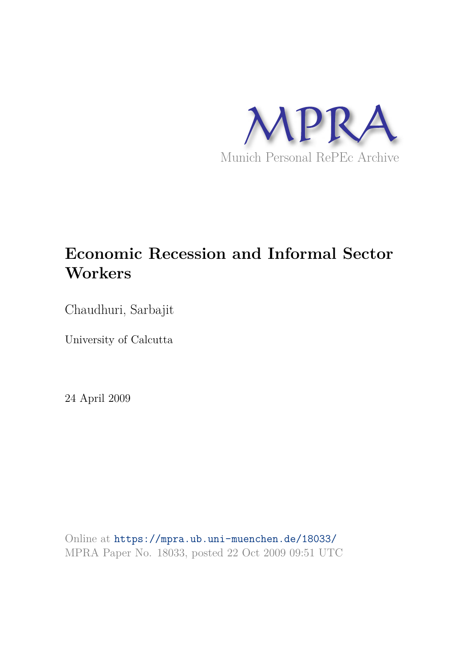

# **Economic Recession and Informal Sector Workers**

Chaudhuri, Sarbajit

University of Calcutta

24 April 2009

Online at https://mpra.ub.uni-muenchen.de/18033/ MPRA Paper No. 18033, posted 22 Oct 2009 09:51 UTC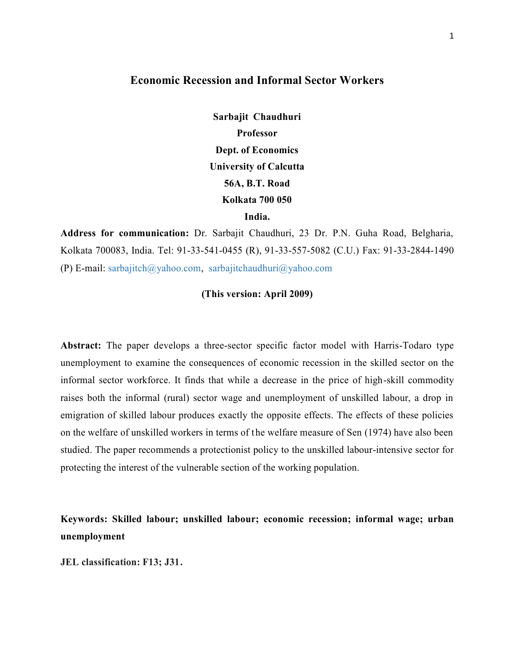# **Economic Recession and Informal Sector Workers**

**Sarbajit Chaudhuri Professor Dept. of Economics University of Calcutta 56A, B.T. Road Kolkata 700 050 India.** 

**Address for communication:** Dr. Sarbajit Chaudhuri, 23 Dr. P.N. Guha Road, Belgharia, Kolkata 700083, India. Tel: 91-33-541-0455 (R), 91-33-557-5082 (C.U.) Fax: 91-33-2844-1490 (P) E-mail: sarbajitch@yahoo.com, sarbajitchaudhuri@yahoo.com

#### **(This version: April 2009)**

**Abstract:** The paper develops a three-sector specific factor model with Harris-Todaro type unemployment to examine the consequences of economic recession in the skilled sector on the informal sector workforce. It finds that while a decrease in the price of high-skill commodity raises both the informal (rural) sector wage and unemployment of unskilled labour, a drop in emigration of skilled labour produces exactly the opposite effects. The effects of these policies on the welfare of unskilled workers in terms of the welfare measure of Sen (1974) have also been studied. The paper recommends a protectionist policy to the unskilled labour-intensive sector for protecting the interest of the vulnerable section of the working population.

**Keywords: Skilled labour; unskilled labour; economic recession; informal wage; urban unemployment**

**JEL classification: F13; J31.**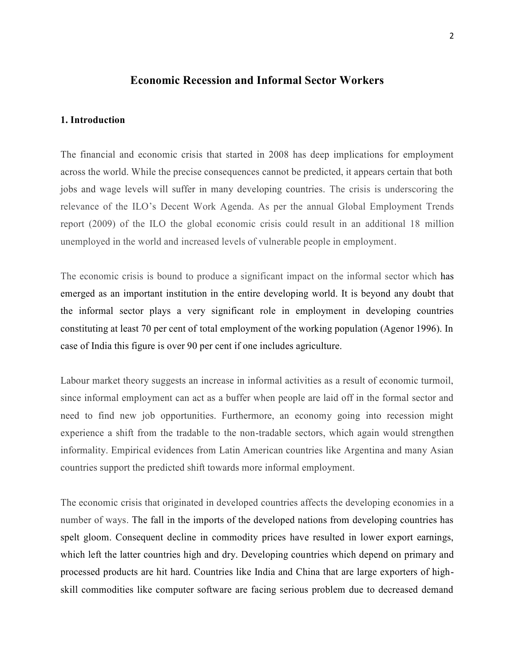# **Economic Recession and Informal Sector Workers**

#### **1. Introduction**

The financial and economic crisis that started in 2008 has deep implications for employment across the world. While the precise consequences cannot be predicted, it appears certain that both jobs and wage levels will suffer in many developing countries. The crisis is underscoring the relevance of the ILO's Decent Work Agenda. As per the annual Global Employment Trends report (2009) of the ILO the global economic crisis could result in an additional 18 million unemployed in the world and increased levels of vulnerable people in employment.

The economic crisis is bound to produce a significant impact on the informal sector which has emerged as an important institution in the entire developing world. It is beyond any doubt that the informal sector plays a very significant role in employment in developing countries constituting at least 70 per cent of total employment of the working population (Agenor 1996). In case of India this figure is over 90 per cent if one includes agriculture.

Labour market theory suggests an increase in informal activities as a result of economic turmoil, since informal employment can act as a buffer when people are laid off in the formal sector and need to find new job opportunities. Furthermore, an economy going into recession might experience a shift from the tradable to the non-tradable sectors, which again would strengthen informality. Empirical evidences from Latin American countries like Argentina and many Asian countries support the predicted shift towards more informal employment.

The economic crisis that originated in developed countries affects the developing economies in a number of ways. The fall in the imports of the developed nations from developing countries has spelt gloom. Consequent decline in commodity prices have resulted in lower export earnings, which left the latter countries high and dry. Developing countries which depend on primary and processed products are hit hard. Countries like India and China that are large exporters of highskill commodities like computer software are facing serious problem due to decreased demand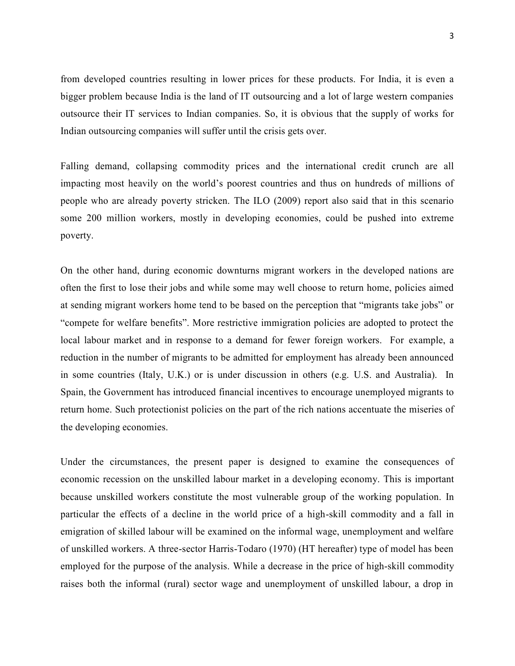from developed countries resulting in lower prices for these products. For India, it is even a bigger problem because India is the land of IT outsourcing and a lot of large western companies outsource their IT services to Indian companies. So, it is obvious that the supply of works for Indian outsourcing companies will suffer until the crisis gets over.

Falling demand, collapsing commodity prices and the international credit crunch are all impacting most heavily on the world's poorest countries and thus on hundreds of millions of people who are already poverty stricken. The ILO (2009) report also said that in this scenario some 200 million workers, mostly in developing economies, could be pushed into extreme poverty.

On the other hand, during economic downturns migrant workers in the developed nations are often the first to lose their jobs and while some may well choose to return home, policies aimed at sending migrant workers home tend to be based on the perception that "migrants take jobs" or "compete for welfare benefits". More restrictive immigration policies are adopted to protect the local labour market and in response to a demand for fewer foreign workers. For example, a reduction in the number of migrants to be admitted for employment has already been announced in some countries (Italy, U.K.) or is under discussion in others (e.g. U.S. and Australia). In Spain, the Government has introduced financial incentives to encourage unemployed migrants to return home. Such protectionist policies on the part of the rich nations accentuate the miseries of the developing economies.

Under the circumstances, the present paper is designed to examine the consequences of economic recession on the unskilled labour market in a developing economy. This is important because unskilled workers constitute the most vulnerable group of the working population. In particular the effects of a decline in the world price of a high-skill commodity and a fall in emigration of skilled labour will be examined on the informal wage, unemployment and welfare of unskilled workers. A three-sector Harris-Todaro (1970) (HT hereafter) type of model has been employed for the purpose of the analysis. While a decrease in the price of high-skill commodity raises both the informal (rural) sector wage and unemployment of unskilled labour, a drop in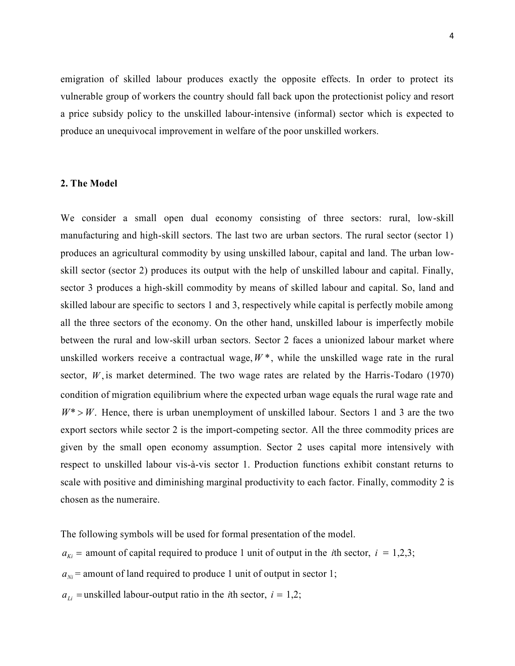emigration of skilled labour produces exactly the opposite effects. In order to protect its vulnerable group of workers the country should fall back upon the protectionist policy and resort a price subsidy policy to the unskilled labour-intensive (informal) sector which is expected to produce an unequivocal improvement in welfare of the poor unskilled workers.

#### **2. The Model**

We consider a small open dual economy consisting of three sectors: rural, low-skill manufacturing and high-skill sectors. The last two are urban sectors. The rural sector (sector 1) produces an agricultural commodity by using unskilled labour, capital and land. The urban lowskill sector (sector 2) produces its output with the help of unskilled labour and capital. Finally, sector 3 produces a high-skill commodity by means of skilled labour and capital. So, land and skilled labour are specific to sectors 1 and 3, respectively while capital is perfectly mobile among all the three sectors of the economy. On the other hand, unskilled labour is imperfectly mobile between the rural and low-skill urban sectors. Sector 2 faces a unionized labour market where unskilled workers receive a contractual wage,  $W^*$ , while the unskilled wage rate in the rural sector,  $W$ , is market determined. The two wage rates are related by the Harris-Todaro (1970) condition of migration equilibrium where the expected urban wage equals the rural wage rate and  $W^* > W$ . Hence, there is urban unemployment of unskilled labour. Sectors 1 and 3 are the two export sectors while sector 2 is the import-competing sector. All the three commodity prices are given by the small open economy assumption. Sector 2 uses capital more intensively with respect to unskilled labour vis-à-vis sector 1. Production functions exhibit constant returns to scale with positive and diminishing marginal productivity to each factor. Finally, commodity 2 is chosen as the numeraire.

The following symbols will be used for formal presentation of the model.

 $a_{ki}$  = amount of capital required to produce 1 unit of output in the *i*th sector, *i* = 1,2,3;

 $a_{Ni}$  = amount of land required to produce 1 unit of output in sector 1;

 $a_{\scriptscriptstyle L}$  = unskilled labour-output ratio in the *i*th sector, *i* = 1,2;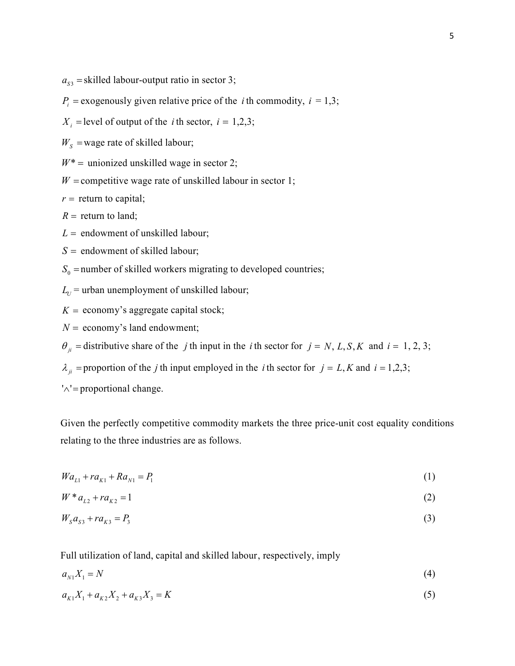$a_{s3}$  = skilled labour-output ratio in sector 3;

 $P_i$  = exogenously given relative price of the *i* th commodity,  $i = 1,3$ ;

 $X_i$  = level of output of the *i* th sector,  $i = 1,2,3$ ;

 $W<sub>S</sub>$  = wage rate of skilled labour;

 $W^*$  = unionized unskilled wage in sector 2;

 $W$  = competitive wage rate of unskilled labour in sector 1;

 $r =$  return to capital;

 $R =$  return to land;

 $L =$  endowment of unskilled labour;

 $S =$  endowment of skilled labour;

 $S_0$  = number of skilled workers migrating to developed countries;

 $L_U$  = urban unemployment of unskilled labour;

 $K =$  economy's aggregate capital stock;

 $N =$  economy's land endowment;

 $\theta_{ii}$  = distributive share of the *j* th input in the *i* th sector for  $j = N$ , *L*, *S*, *K* and  $i = 1, 2, 3$ ;

 $\lambda_{ji}$  = proportion of the *j* th input employed in the *i* th sector for  $j = L$ , *K* and  $i = 1,2,3$ ;

 $'\wedge'$  = proportional change.

Given the perfectly competitive commodity markets the three price-unit cost equality conditions relating to the three industries are as follows.

$$
Wa_{L1} + ra_{K1} + Ra_{N1} = P_1 \tag{1}
$$

$$
W * a_{2} + ra_{K2} = 1 \tag{2}
$$

$$
W_{s}a_{s3} + ra_{k3} = P_{s}
$$
 (3)

Full utilization of land, capital and skilled labour, respectively, imply

$$
a_{N1}X_1 = N \tag{4}
$$

 $a_{\kappa_1} X_1 + a_{\kappa_2} X_2 + a_{\kappa_3} X_3 = K$  (5)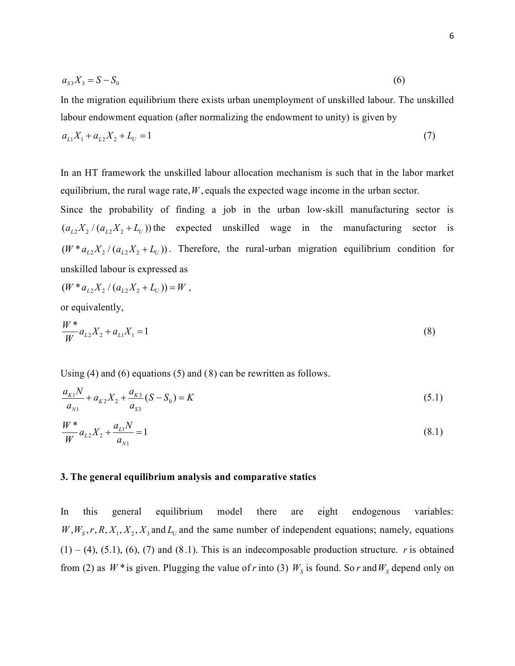$$
a_{s3}X_3 = S - S_0 \tag{6}
$$

In the migration equilibrium there exists urban unemployment of unskilled labour. The unskilled labour endowment equation (after normalizing the endowment to unity) is given by

$$
a_{L1}X_1 + a_{L2}X_2 + L_U = 1\tag{7}
$$

In an HT framework the unskilled labour allocation mechanism is such that in the labor market equilibrium, the rural wage rate,  $W$ , equals the expected wage income in the urban sector.

Since the probability of finding a job in the urban low-skill manufacturing sector is  $(a_{L2} X_2 / (a_{L2} X_2 + L_U))$  the expected unskilled wage in the manufacturing sector is  $(W^* a_{L2} X_2 / (a_{L2} X_2 + L_U))$ . Therefore, the rural-urban migration equilibrium condition for unskilled labour is expressed as

$$
(W * a_{L2} X_2 / (a_{L2} X_2 + L_U)) = W,
$$

or equivalently,

$$
\frac{W^*}{W}a_{L2}X_2 + a_{L1}X_1 = 1
$$
\n(8)

Using (4) and (6) equations (5) and (8) can be rewritten as follows.

$$
\frac{a_{K1}N}{a_{N1}} + a_{K2}X_2 + \frac{a_{K3}}{a_{S3}}(S - S_0) = K
$$
\n(5.1)

$$
\frac{W^*}{W}a_{L2}X_2 + \frac{a_{L1}N}{a_{N1}} = 1
$$
\n(8.1)

#### **3. The general equilibrium analysis and comparative statics**

In this general equilibrium model there are eight endogenous variables:  $W, W_s, r, R, X_1, X_2, X_3$  and  $L_U$  and the same number of independent equations; namely, equations  $(1) - (4)$ ,  $(5.1)$ ,  $(6)$ ,  $(7)$  and  $(8.1)$ . This is an indecomposable production structure. *r* is obtained from (2) as  $W^*$  is given. Plugging the value of *r* into (3)  $W_s$  is found. So *r* and  $W_s$  depend only on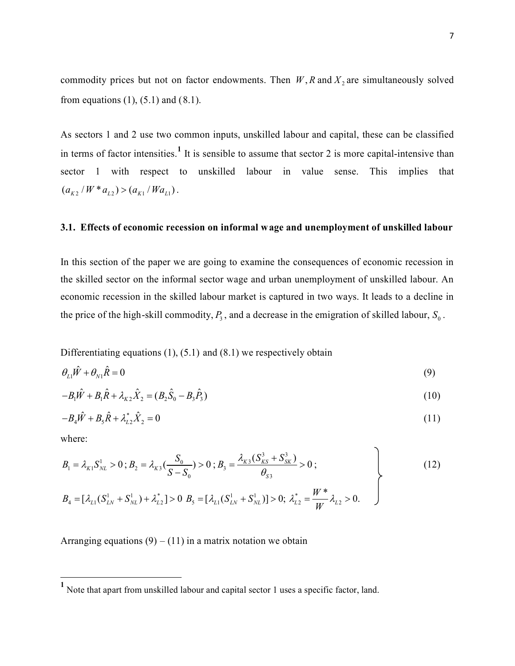commodity prices but not on factor endowments. Then  $W$ ,  $R$  and  $X<sub>2</sub>$  are simultaneously solved from equations  $(1)$ ,  $(5.1)$  and  $(8.1)$ .

As sectors 1 and 2 use two common inputs, unskilled labour and capital, these can be classified in terms of factor intensities.<sup>1</sup> It is sensible to assume that sector 2 is more capital-intensive than sector 1 with respect to unskilled labour in value sense. This implies that  $(a_{K2} / W * a_{L2}) > (a_{K1} / Wa_{L1})$ .

#### **3.1. Effects of economic recession on informal wage and unemployment of unskilled labour**

In this section of the paper we are going to examine the consequences of economic recession in the skilled sector on the informal sector wage and urban unemployment of unskilled labour. An economic recession in the skilled labour market is captured in two ways. It leads to a decline in the price of the high-skill commodity,  $P_3$ , and a decrease in the emigration of skilled labour,  $S_0$ .

Differentiating equations  $(1)$ ,  $(5.1)$  and  $(8.1)$  we respectively obtain

$$
\theta_{L1}\hat{W} + \theta_{N1}\hat{R} = 0\tag{9}
$$

$$
-B_1 \hat{W} + B_1 \hat{R} + \lambda_{K2} \hat{X}_2 = (B_2 \hat{S}_0 - B_3 \hat{P}_3)
$$
\n(10)

$$
-B_4 \hat{W} + B_5 \hat{R} + \lambda_{L2}^* \hat{X}_2 = 0 \tag{11}
$$

where:

l

$$
B_{1} = \lambda_{K1} S_{NL}^{1} > 0; B_{2} = \lambda_{K3} \left( \frac{S_{0}}{S - S_{0}} \right) > 0; B_{3} = \frac{\lambda_{K3} (S_{KS}^{3} + S_{SK}^{3})}{\theta_{S3}} > 0;
$$
\n
$$
B_{4} = [\lambda_{L1} (S_{LN}^{1} + S_{NL}^{1}) + \lambda_{L2}^{*}] > 0; B_{5} = [\lambda_{L1} (S_{LN}^{1} + S_{NL}^{1})] > 0; \lambda_{L2}^{*} = \frac{W^{*}}{W} \lambda_{L2} > 0.
$$
\n(12)

Arranging equations  $(9) - (11)$  in a matrix notation we obtain

<sup>&</sup>lt;sup>1</sup> Note that apart from unskilled labour and capital sector 1 uses a specific factor, land.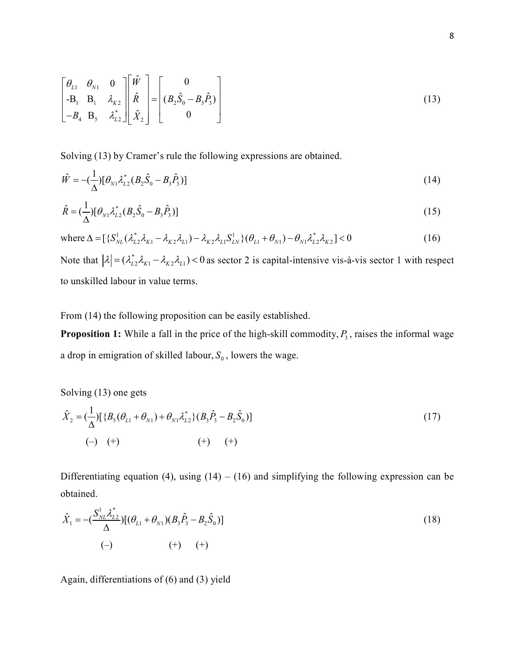$$
\begin{bmatrix} \theta_{L1} & \theta_{N1} & 0 \\ -\mathbf{B}_1 & \mathbf{B}_1 & \lambda_{K2} \\ -B_4 & \mathbf{B}_5 & \lambda_{L2}^* \end{bmatrix} \begin{bmatrix} \hat{W} \\ \hat{R} \\ \hat{X}_2 \end{bmatrix} = \begin{bmatrix} 0 \\ (B_2\hat{S}_0 - B_3\hat{P}_3) \\ 0 \end{bmatrix}
$$
(13)

Solving (13) by Cramer's rule the following expressions are obtained.

$$
\hat{W} = -\left(\frac{1}{\Delta}\right)[\theta_{N1}\lambda_{L2}^*(B_2\hat{S}_0 - B_3\hat{P}_3)]
$$
\n(14)

$$
\hat{R} = (\frac{1}{\Delta})[\theta_{N1}\lambda_{L2}^*(B_2\hat{S}_0 - B_3\hat{P}_3)]
$$
\n(15)

where 
$$
\Delta = [\{\mathcal{S}_{NL}^{1}(\lambda_{L2}^{*}\lambda_{K1} - \lambda_{K2}\lambda_{L1}) - \lambda_{K2}\lambda_{L1}\mathcal{S}_{LN}^{1}\}(\theta_{L1} + \theta_{N1}) - \theta_{N1}\lambda_{L2}^{*}\lambda_{K2}] < 0
$$
 (16)

Note that  $|\lambda| = (\lambda_{L2}^* \lambda_{K1} - \lambda_{K2} \lambda_{L1}) < 0$  as sector 2 is capital-intensive vis-à-vis sector 1 with respect to unskilled labour in value terms.

From (14) the following proposition can be easily established.

**Proposition 1:** While a fall in the price of the high-skill commodity,  $P_3$ , raises the informal wage a drop in emigration of skilled labour,  $S_0$ , lowers the wage.

Solving (13) one gets

$$
\hat{X}_2 = \left(\frac{1}{\Delta}\right) \left[ \{B_5(\theta_{L1} + \theta_{N1}) + \theta_{N1} \lambda_{L2}^* \} (B_3 \hat{P}_3 - B_2 \hat{S}_0) \right]
$$
\n
$$
(-) \quad (+) \qquad (+) \qquad (+)
$$
\n(17)

Differentiating equation (4), using  $(14) - (16)$  and simplifying the following expression can be obtained.

$$
\hat{X}_1 = -\left(\frac{S_{NL}^1 \lambda_{L2}^*}{\Delta}\right) \left[ (\theta_{L1} + \theta_{N1})(B_3 \hat{P}_3 - B_2 \hat{S}_0) \right]
$$
\n
$$
(-)\qquad \qquad (+)\qquad (+)\qquad (+)
$$
\n(18)

Again, differentiations of (6) and (3) yield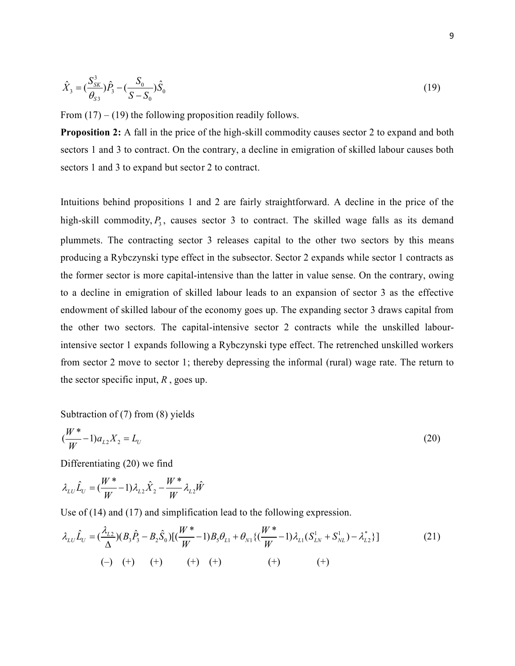$$
\hat{X}_3 = \left(\frac{S_{SK}^3}{\theta_{S3}}\right)\hat{P}_3 - \left(\frac{S_0}{S - S_0}\right)\hat{S}_0
$$
\n(19)

From  $(17) - (19)$  the following proposition readily follows.

**Proposition 2:** A fall in the price of the high-skill commodity causes sector 2 to expand and both sectors 1 and 3 to contract. On the contrary, a decline in emigration of skilled labour causes both sectors 1 and 3 to expand but sector 2 to contract.

Intuitions behind propositions 1 and 2 are fairly straightforward. A decline in the price of the high-skill commodity,  $P_3$ , causes sector 3 to contract. The skilled wage falls as its demand plummets. The contracting sector 3 releases capital to the other two sectors by this means producing a Rybczynski type effect in the subsector. Sector 2 expands while sector 1 contracts as the former sector is more capital-intensive than the latter in value sense. On the contrary, owing to a decline in emigration of skilled labour leads to an expansion of sector 3 as the effective endowment of skilled labour of the economy goes up. The expanding sector 3 draws capital from the other two sectors. The capital-intensive sector 2 contracts while the unskilled labourintensive sector 1 expands following a Rybczynski type effect. The retrenched unskilled workers from sector 2 move to sector 1; thereby depressing the informal (rural) wage rate. The return to the sector specific input, *R* , goes up.

Subtraction of (7) from (8) yields

$$
(\frac{W^*}{W} - 1)a_{L2}X_2 = L_U
$$
\n(20)

Differentiating (20) we find

$$
\lambda_{LU}\hat{L}_U = (\frac{W^*}{W} - 1)\lambda_{L2}\hat{X}_2 - \frac{W^*}{W}\lambda_{L2}\hat{W}
$$

Use of (14) and (17) and simplification lead to the following expression.

$$
\lambda_{LU}\hat{L}_U = (\frac{\lambda_{L2}}{\Delta})(B_3\hat{P}_3 - B_2\hat{S}_0)[(\frac{W^*}{W} - 1)B_5\theta_{L1} + \theta_{N1}\{(\frac{W^*}{W} - 1)\lambda_{L1}(S_{LN}^1 + S_{NL}^1) - \lambda_{L2}^*\}]
$$
\n
$$
(-) \quad (+) \quad (+) \quad (+) \quad (+) \quad (+) \quad (+) \quad (+) \quad (+)
$$
\n
$$
(1)
$$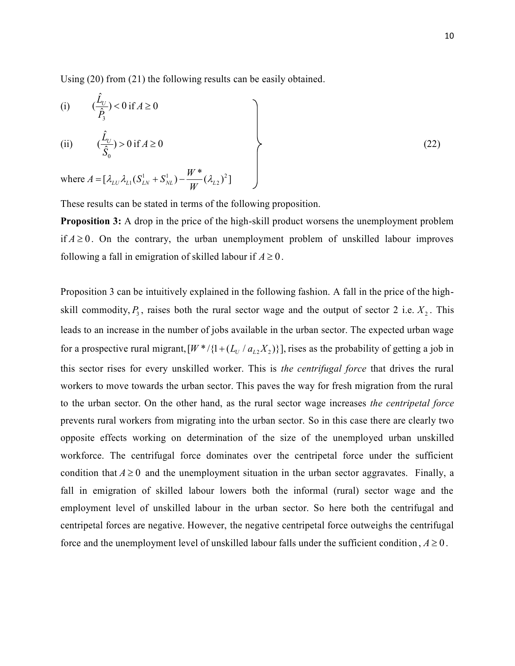Using (20) from (21) the following results can be easily obtained.

(i) 
$$
(\frac{\hat{L}_U}{\hat{P}_3}) < 0
$$
 if  $A \ge 0$   
\n(ii)  $(\frac{\hat{L}_U}{\hat{S}_0}) > 0$  if  $A \ge 0$   
\nwhere  $A = [\lambda_{LU} \lambda_{L1} (S_{LN}^1 + S_{NL}^1) - \frac{W^*}{W} (\lambda_{L2})^2]$  (22)

These results can be stated in terms of the following proposition.

**Proposition 3:** A drop in the price of the high-skill product worsens the unemployment problem if  $A \geq 0$ . On the contrary, the urban unemployment problem of unskilled labour improves following a fall in emigration of skilled labour if  $A \geq 0$ .

Proposition 3 can be intuitively explained in the following fashion. A fall in the price of the highskill commodity,  $P_3$ , raises both the rural sector wage and the output of sector 2 i.e.  $X_2$ . This leads to an increase in the number of jobs available in the urban sector. The expected urban wage for a prospective rural migrant,  $[W^*/{1 + (L_U / a_{L2}X_2)}]$ , rises as the probability of getting a job in this sector rises for every unskilled worker. This is *the centrifugal force* that drives the rural workers to move towards the urban sector. This paves the way for fresh migration from the rural to the urban sector. On the other hand, as the rural sector wage increases *the centripetal force* prevents rural workers from migrating into the urban sector. So in this case there are clearly two opposite effects working on determination of the size of the unemployed urban unskilled workforce. The centrifugal force dominates over the centripetal force under the sufficient condition that  $A \ge 0$  and the unemployment situation in the urban sector aggravates. Finally, a fall in emigration of skilled labour lowers both the informal (rural) sector wage and the employment level of unskilled labour in the urban sector. So here both the centrifugal and centripetal forces are negative. However, the negative centripetal force outweighs the centrifugal force and the unemployment level of unskilled labour falls under the sufficient condition,  $A \ge 0$ .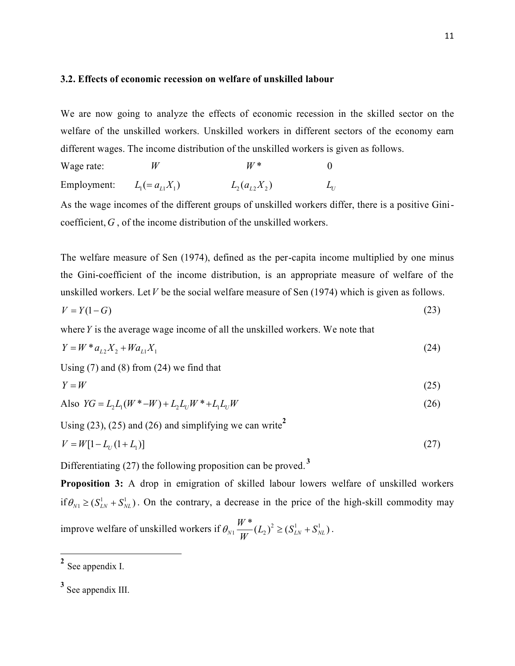#### **3.2. Effects of economic recession on welfare of unskilled labour**

We are now going to analyze the effects of economic recession in the skilled sector on the welfare of the unskilled workers. Unskilled workers in different sectors of the economy earn different wages. The income distribution of the unskilled workers is given as follows.

Wage rate:  $W$   $W^*$  0 Employment:  $L_1 (= a_{i1}X_1)$   $L_2(a_{i2}X_2)$  $L_{\!U}$ 

As the wage incomes of the different groups of unskilled workers differ, there is a positive Ginicoefficient, *G* , of the income distribution of the unskilled workers.

The welfare measure of Sen (1974), defined as the per-capita income multiplied by one minus the Gini-coefficient of the income distribution, is an appropriate measure of welfare of the unskilled workers. Let*V* be the social welfare measure of Sen (1974) which is given as follows.

$$
V = Y(1 - G) \tag{23}
$$

where*Y* is the average wage income of all the unskilled workers. We note that

$$
Y = W * a_{L2} X_2 + W a_{L1} X_1 \tag{24}
$$

Using  $(7)$  and  $(8)$  from  $(24)$  we find that

$$
Y = W \tag{25}
$$

Also 
$$
YG = L_2 L_1(W^* - W) + L_2 L_U W^* + L_1 L_U W
$$
 (26)

Using (23), (25) and (26) and simplifying we can write**<sup>2</sup>**

$$
V = W[1 - L_U(1 + L_1)]
$$
\n(27)

Differentiating (27) the following proposition can be proved. **<sup>3</sup>**

**Proposition 3:** A drop in emigration of skilled labour lowers welfare of unskilled workers if  $\theta_{N1} \geq (S_{LN}^1 + S_{NL}^1)$ . On the contrary, a decrease in the price of the high-skill commodity may improve welfare of unskilled workers if  $\theta_{N1} \frac{H}{W}(L_2)^2 \geq (S_{LN}^1 + S_N^1)$  $\frac{W^*}{W_N!}(L_2)^2 \geq (S_{LN}^1 + S_{NL}^1)$ *W*  $\theta_{N1} \frac{V}{V} (L_2)^2 \geq (S_{LN}^1 + S_{NL}^1)$ .

**2** See appendix I.

<u>.</u>

**<sup>3</sup>** See appendix III.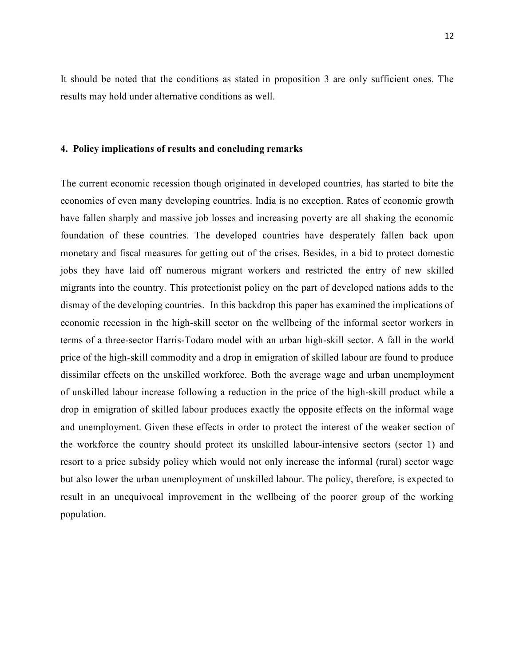It should be noted that the conditions as stated in proposition 3 are only sufficient ones. The results may hold under alternative conditions as well.

#### **4. Policy implications of results and concluding remarks**

The current economic recession though originated in developed countries, has started to bite the economies of even many developing countries. India is no exception. Rates of economic growth have fallen sharply and massive job losses and increasing poverty are all shaking the economic foundation of these countries. The developed countries have desperately fallen back upon monetary and fiscal measures for getting out of the crises. Besides, in a bid to protect domestic jobs they have laid off numerous migrant workers and restricted the entry of new skilled migrants into the country. This protectionist policy on the part of developed nations adds to the dismay of the developing countries. In this backdrop this paper has examined the implications of economic recession in the high-skill sector on the wellbeing of the informal sector workers in terms of a three-sector Harris-Todaro model with an urban high-skill sector. A fall in the world price of the high-skill commodity and a drop in emigration of skilled labour are found to produce dissimilar effects on the unskilled workforce. Both the average wage and urban unemployment of unskilled labour increase following a reduction in the price of the high-skill product while a drop in emigration of skilled labour produces exactly the opposite effects on the informal wage and unemployment. Given these effects in order to protect the interest of the weaker section of the workforce the country should protect its unskilled labour-intensive sectors (sector 1) and resort to a price subsidy policy which would not only increase the informal (rural) sector wage but also lower the urban unemployment of unskilled labour. The policy, therefore, is expected to result in an unequivocal improvement in the wellbeing of the poorer group of the working population.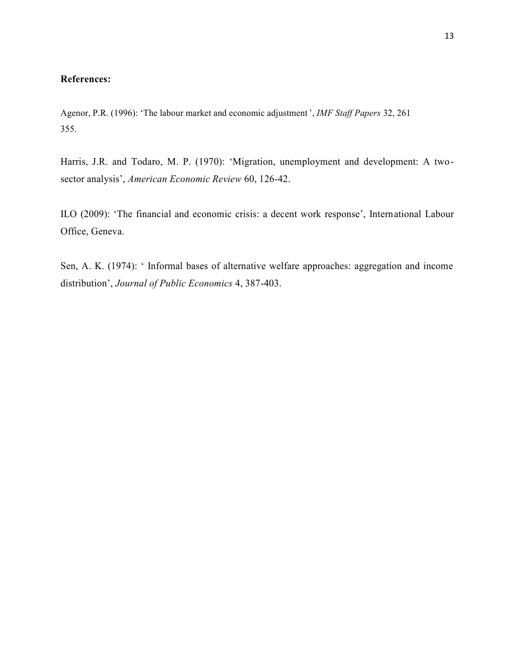#### **References:**

Agenor, P.R. (1996): 'The labour market and economic adjustment ', *IMF Staff Papers* 32, 261 355.

Harris, J.R. and Todaro, M. P. (1970): 'Migration, unemployment and development: A twosector analysis', *American Economic Review* 60, 126-42.

ILO (2009): 'The financial and economic crisis: a decent work response', International Labour Office, Geneva.

Sen, A. K. (1974): ' Informal bases of alternative welfare approaches: aggregation and income distribution', *Journal of Public Economics* 4, 387-403.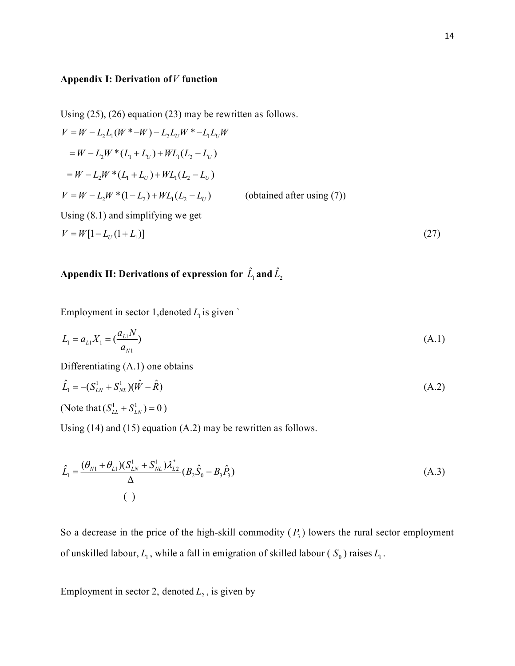### **Appendix I: Derivation of***V* **function**

Using (25), (26) equation (23) may be rewritten as follows.  
\n
$$
V = W - L_2 L_1(W^* - W) - L_2 L_0 W^* - L_1 L_0 W
$$
\n
$$
= W - L_2 W^* (L_1 + L_0) + W L_1 (L_2 - L_0)
$$
\n
$$
= W - L_2 W^* (L_1 + L_0) + W L_1 (L_2 - L_0)
$$
\n
$$
V = W - L_2 W^* (1 - L_2) + W L_1 (L_2 - L_0)
$$
\n(obtained after using (7))  
\nUsing (8.1) and simplifying we get  
\n
$$
V = W[1 - L_0 (1 + L_1)]
$$
\n(27)

# **Appendix II: Derivations of expression for**  $\hat{L}_1$  **and**  $\hat{L}_2$

Employment in sector 1, denoted  $L<sub>1</sub>$  is given `

$$
L_1 = a_{L1} X_1 = \left(\frac{a_{L1} N}{a_{N1}}\right) \tag{A.1}
$$

Differentiating (A.1) one obtains

$$
\hat{L}_1 = -(S_{LN}^1 + S_{NL}^1)(\hat{W} - \hat{R})
$$
\n(A.2)

(Note that  $(S_{LL}^1 + S_{LN}^1) = 0$ )

Using (14) and (15) equation (A.2) may be rewritten as follows.

$$
\hat{L}_1 = \frac{(\theta_{N1} + \theta_{L1})(S_{LN}^1 + S_{NL}^1)\lambda_{L2}^*}{\Delta}(B_2\hat{S}_0 - B_3\hat{P}_3)
$$
\n
$$
(-)
$$
\n(A.3)

So a decrease in the price of the high-skill commodity  $(P_3)$  lowers the rural sector employment of unskilled labour,  $L_1$ , while a fall in emigration of skilled labour ( $S_0$ ) raises  $L_1$ .

Employment in sector 2, denoted  $L<sub>2</sub>$ , is given by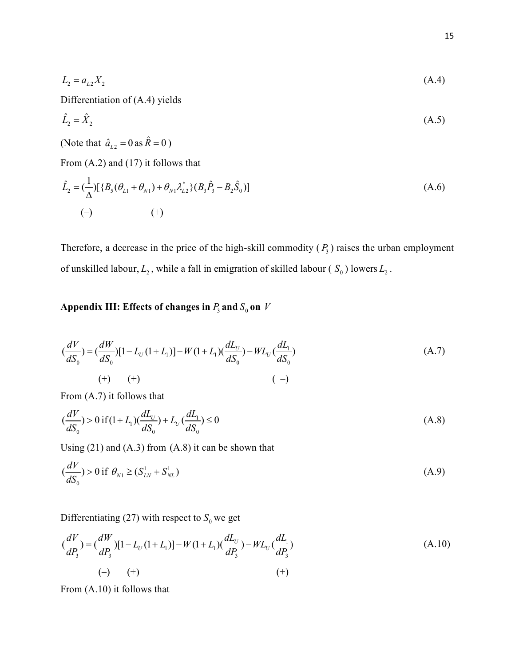$$
L_2 = a_{L2} X_2 \tag{A.4}
$$

Differentiation of (A.4) yields

$$
\hat{L}_2 = \hat{X}_2 \tag{A.5}
$$

(Note that  $\hat{a}_{L2} = 0$  as  $\hat{R} = 0$ )

From (A.2) and (17) it follows that

$$
\hat{L}_2 = \left(\frac{1}{\Delta}\right) [\{B_5(\theta_{L1} + \theta_{N1}) + \theta_{N1}\lambda_{L2}^* \} (B_3\hat{P}_3 - B_2\hat{S}_0)]
$$
\n
$$
(-)\qquad \qquad (+)
$$
\n(A.6)

Therefore, a decrease in the price of the high-skill commodity  $(P_3)$  raises the urban employment of unskilled labour,  $L_2$ , while a fall in emigration of skilled labour ( $S_0$ ) lowers  $L_2$ .

## Appendix III: Effects of changes in  $P_3$  and  $S_0$  on  $V$

$$
\left(\frac{dV}{dS_0}\right) = \left(\frac{dW}{dS_0}\right)\left[1 - L_U(1 + L_1)\right] - W(1 + L_1)\left(\frac{dL_U}{dS_0}\right) - WL_U\left(\frac{dL_1}{dS_0}\right) \tag{A.7}
$$
\n
$$
\left(\begin{array}{cc} + & \end{array}\right)
$$

From (A.7) it follows that

$$
\left(\frac{dV}{dS_0}\right) > 0 \text{ if } (1 + L_1)\left(\frac{dL_U}{dS_0}\right) + L_U\left(\frac{dL_1}{dS_0}\right) \le 0\tag{A.8}
$$

Using (21) and (A.3) from (A.8) it can be shown that

$$
\left(\frac{dV}{dS_0}\right) > 0 \text{ if } \theta_{N1} \ge \left(S_{LN}^1 + S_{NL}^1\right) \tag{A.9}
$$

Differentiating (27) with respect to  $S_0$  we get

$$
\left(\frac{dV}{dP_3}\right) = \left(\frac{dW}{dP_3}\right)\left[1 - L_U(1 + L_1)\right] - W(1 + L_1)\left(\frac{dL_U}{dP_3}\right) - WL_U\left(\frac{dL_1}{dP_3}\right) \tag{A.10}
$$
\n
$$
\left(-\right) \qquad \left(+\right) \qquad \qquad \left(+\right)
$$

From (A.10) it follows that